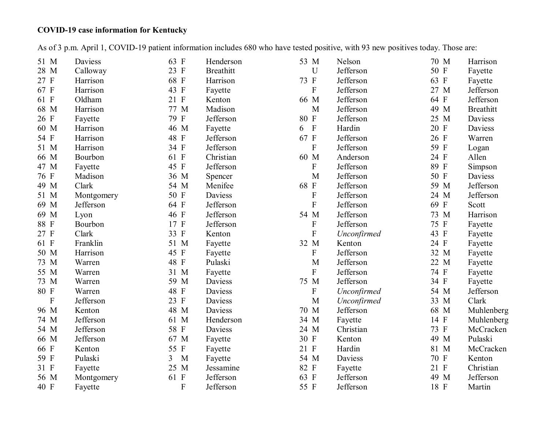## **COVID-19 case information for Kentucky**

As of 3 p.m. April 1, COVID-19 patient information includes 680 who have tested positive, with 93 new positives today. Those are:

| Daviess   | 63 F                                                                     | Henderson        | 53 M                                       | Nelson      | 70 M                                                                       | Harrison         |
|-----------|--------------------------------------------------------------------------|------------------|--------------------------------------------|-------------|----------------------------------------------------------------------------|------------------|
| Calloway  |                                                                          | <b>Breathitt</b> | $\mathbf U$                                |             | 50 F                                                                       | Fayette          |
| Harrison  | 68 F                                                                     | Harrison         | 73 F                                       | Jefferson   | 63 F                                                                       | Fayette          |
| Harrison  | 43 F                                                                     | Fayette          | $\mathbf F$                                | Jefferson   | 27 M                                                                       | Jefferson        |
| Oldham    | 21 F                                                                     | Kenton           | 66 M                                       | Jefferson   | 64 F                                                                       | Jefferson        |
| Harrison  | 77 M                                                                     | Madison          | $\mathbf M$                                | Jefferson   | 49 M                                                                       | <b>Breathitt</b> |
| Fayette   | 79 F                                                                     | Jefferson        | 80 F                                       | Jefferson   | 25 M                                                                       | Daviess          |
| Harrison  | 46 M                                                                     | Fayette          | $\Gamma$<br>6                              | Hardin      | 20 F                                                                       | Daviess          |
| Harrison  | 48 F                                                                     | Jefferson        | 67 F                                       | Jefferson   | 26 F                                                                       | Warren           |
| Harrison  | 34 F                                                                     | Jefferson        | ${\bf F}$                                  | Jefferson   | 59 F                                                                       | Logan            |
| Bourbon   | 61 F                                                                     | Christian        | 60 M                                       | Anderson    | 24 F                                                                       | Allen            |
|           | 45 F                                                                     | Jefferson        | ${\bf F}$                                  | Jefferson   | 89 F                                                                       | Simpson          |
| Madison   | 36 M                                                                     | Spencer          | M                                          | Jefferson   | 50 F                                                                       | Daviess          |
| Clark     | 54 M                                                                     | Menifee          | 68 F                                       | Jefferson   | 59 M                                                                       | Jefferson        |
|           | 50 F                                                                     | Daviess          | ${\bf F}$                                  | Jefferson   | 24 M                                                                       | Jefferson        |
| Jefferson | 64 F                                                                     | Jefferson        | ${\bf F}$                                  | Jefferson   | 69 F                                                                       | Scott            |
| Lyon      | 46 F                                                                     | Jefferson        | 54 M                                       | Jefferson   | 73 M                                                                       | Harrison         |
| Bourbon   | 17 F                                                                     | Jefferson        | $\boldsymbol{\mathrm{F}}$                  | Jefferson   | 75 F                                                                       | Fayette          |
| Clark     | 33 F                                                                     | Kenton           | $\mathbf{F}$                               | Unconfirmed | 43 F                                                                       | Fayette          |
| Franklin  | 51 M                                                                     | Fayette          | 32 M                                       | Kenton      | 24 F                                                                       | Fayette          |
| Harrison  | 45 F                                                                     | Fayette          | $\boldsymbol{\mathrm{F}}$                  | Jefferson   | 32 M                                                                       | Fayette          |
| Warren    | 48 F                                                                     | Pulaski          | M                                          | Jefferson   | 22 M                                                                       | Fayette          |
| Warren    | 31 M                                                                     | Fayette          | ${\bf F}$                                  | Jefferson   | 74 F                                                                       | Fayette          |
| Warren    | 59 M                                                                     | Daviess          | 75 M                                       | Jefferson   | 34 F                                                                       | Fayette          |
| Warren    | 48 F                                                                     | Daviess          | $\boldsymbol{\mathrm{F}}$                  |             | 54 M                                                                       | Jefferson        |
|           | 23 F                                                                     | Daviess          | M                                          |             | 33 M                                                                       | Clark            |
| Kenton    | 48 M                                                                     | Daviess          | 70 M                                       | Jefferson   | 68 M                                                                       | Muhlenberg       |
| Jefferson | 61 M                                                                     | Henderson        | 34 M                                       |             | 14 F                                                                       | Muhlenberg       |
|           | 58 F                                                                     | Daviess          | 24 M                                       | Christian   |                                                                            | McCracken        |
| Jefferson | 67 M                                                                     |                  | 30 F                                       | Kenton      | 49 M                                                                       | Pulaski          |
| Kenton    | 55 F                                                                     |                  | 21 F                                       | Hardin      | 81 M                                                                       | McCracken        |
| Pulaski   | 3<br>M                                                                   |                  | 54 M                                       | Daviess     | 70 F                                                                       | Kenton           |
|           |                                                                          |                  |                                            |             |                                                                            | Christian        |
|           | 61 F                                                                     | Jefferson        | 63 F                                       |             | 49 M                                                                       | Jefferson        |
| Fayette   | F                                                                        | Jefferson        | 55 F                                       | Jefferson   | 18 F                                                                       | Martin           |
|           | Fayette<br>Montgomery<br>Jefferson<br>Jefferson<br>Fayette<br>Montgomery | 23 F<br>25 M     | Fayette<br>Fayette<br>Fayette<br>Jessamine | 82 F        | Jefferson<br>Unconfirmed<br>Unconfirmed<br>Fayette<br>Fayette<br>Jefferson | 73 F<br>21 F     |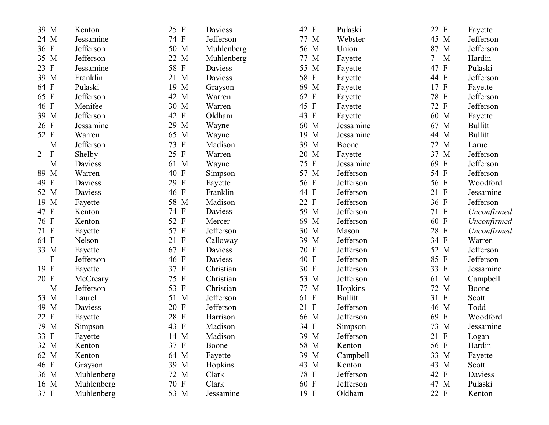| 39 M                      | Kenton     | 25 F | Daviess    | 42 F | Pulaski        | 22 F        | Fayette        |
|---------------------------|------------|------|------------|------|----------------|-------------|----------------|
| 24 M                      | Jessamine  | 74 F | Jefferson  | 77 M | Webster        | 45 M        | Jefferson      |
| 36 F                      | Jefferson  | 50 M | Muhlenberg | 56 M | Union          | 87 M        | Jefferson      |
| 35 M                      | Jefferson  | 22 M | Muhlenberg | 77 M | Fayette        | $\tau$<br>M | Hardin         |
| 23 F                      | Jessamine  | 58 F | Daviess    | 55 M | Fayette        | 47 F        | Pulaski        |
| 39 M                      | Franklin   | 21 M | Daviess    | 58 F | Fayette        | 44 F        | Jefferson      |
| 64 F                      | Pulaski    | 19 M | Grayson    | 69 M | Fayette        | 17 F        | Fayette        |
| 65 F                      | Jefferson  | 42 M | Warren     | 62 F | Fayette        | 78 F        | Jefferson      |
| 46 F                      | Menifee    | 30 M | Warren     | 45 F | Fayette        | 72 F        | Jefferson      |
| 39 M                      | Jefferson  | 42 F | Oldham     | 43 F | Fayette        | 60 M        | Fayette        |
| 26 F                      | Jessamine  | 29 M | Wayne      | 60 M | Jessamine      | 67 M        | <b>Bullitt</b> |
| 52 F                      | Warren     | 65 M | Wayne      | 19 M | Jessamine      | 44 M        | <b>Bullitt</b> |
| M                         | Jefferson  | 73 F | Madison    | 39 M | Boone          | 72 M        | Larue          |
| $\rm F$<br>$\overline{2}$ | Shelby     | 25 F | Warren     | 20 M | Fayette        | 37 M        | Jefferson      |
| M                         | Daviess    | 61 M | Wayne      | 75 F | Jessamine      | 69 F        | Jefferson      |
| 89 M                      | Warren     | 40 F | Simpson    | 57 M | Jefferson      | 54 F        | Jefferson      |
| 49 F                      | Daviess    | 29 F | Fayette    | 56 F | Jefferson      | 56 F        | Woodford       |
| 52 M                      | Daviess    | 46 F | Franklin   | 44 F | Jefferson      | 21 F        | Jessamine      |
| 19 M                      | Fayette    | 58 M | Madison    | 22 F | Jefferson      | 36 F        | Jefferson      |
| 47 F                      | Kenton     | 74 F | Daviess    | 59 M | Jefferson      | 71 F        | Unconfirmed    |
| 76 F                      | Kenton     | 52 F | Mercer     | 69 M | Jefferson      | 60 F        | Unconfirmed    |
| 71 F                      | Fayette    | 57 F | Jefferson  | 30 M | Mason          | 28 F        | Unconfirmed    |
| 64 F                      | Nelson     | 21 F | Calloway   | 39 M | Jefferson      | 34 F        | Warren         |
| 33 M                      | Fayette    | 67 F | Daviess    | 70 F | Jefferson      | 52 M        | Jefferson      |
| $\mathbf F$               | Jefferson  | 46 F | Daviess    | 40 F | Jefferson      | 85 F        | Jefferson      |
| 19 F                      | Fayette    | 37 F | Christian  | 30 F | Jefferson      | 33 F        | Jessamine      |
| 20 F                      | McCreary   | 75 F | Christian  | 53 M | Jefferson      | 61 M        | Campbell       |
| M                         | Jefferson  | 53 F | Christian  | 77 M | Hopkins        | 72 M        | Boone          |
| 53 M                      | Laurel     | 51 M | Jefferson  | 61 F | <b>Bullitt</b> | 31 F        | Scott          |
| 49 M                      | Daviess    | 20 F | Jefferson  | 21 F | Jefferson      | 46 M        | Todd           |
| 22 F                      | Fayette    | 28 F | Harrison   | 66 M | Jefferson      | 69 F        | Woodford       |
| 79 M                      | Simpson    | 43 F | Madison    | 34 F | Simpson        | 73 M        | Jessamine      |
| 33 F                      | Fayette    | 14 M | Madison    | 39 M | Jefferson      | 21 F        | Logan          |
| 32 M                      | Kenton     | 37 F | Boone      | 58 M | Kenton         | 56 F        | Hardin         |
| 62 M                      | Kenton     | 64 M | Fayette    | 39 M | Campbell       | 33 M        | Fayette        |
| 46 F                      | Grayson    | 39 M | Hopkins    | 43 M | Kenton         | 43 M        | Scott          |
| 36 M                      | Muhlenberg | 72 M | Clark      | 78 F | Jefferson      | 42 F        | Daviess        |
| 16 M                      | Muhlenberg | 70 F | Clark      | 60 F | Jefferson      | 47 M        | Pulaski        |
| 37 F                      | Muhlenberg | 53 M | Jessamine  | 19 F | Oldham         | 22 F        | Kenton         |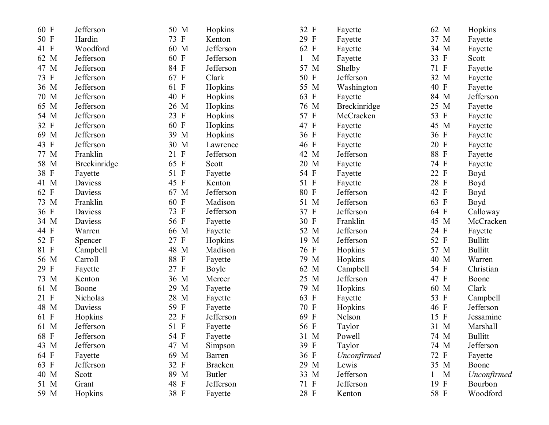| 60 F | Jefferson    | 50 M               | Hopkins        | 32 F | Fayette      | 62 M   | Hopkins        |
|------|--------------|--------------------|----------------|------|--------------|--------|----------------|
| 50 F | Hardin       | 73 F               | Kenton         | 29 F | Fayette      | 37 M   | Fayette        |
| 41 F | Woodford     | 60 M               | Jefferson      | 62 F | Fayette      | 34 M   | Fayette        |
| 62 M | Jefferson    | $\mathbf{F}$<br>60 | Jefferson      | M    | Fayette      | 33 F   | Scott          |
| 47 M | Jefferson    | 84 F               | Jefferson      | 57 M | Shelby       | 71 F   | Fayette        |
| 73 F | Jefferson    | 67 F               | Clark          | 50 F | Jefferson    | 32 M   | Fayette        |
| 36 M | Jefferson    | 61<br>$\mathbf{F}$ | Hopkins        | 55 M | Washington   | 40 F   | Fayette        |
| 70 M | Jefferson    | 40 F               | Hopkins        | 63 F | Fayette      | 84 M   | Jefferson      |
| 65 M | Jefferson    | 26 M               | Hopkins        | 76 M | Breckinridge | 25 M   | Fayette        |
| 54 M | Jefferson    | 23<br>$\mathbf{F}$ | Hopkins        | 57 F | McCracken    | 53 F   | Fayette        |
| 32 F | Jefferson    | 60 F               | Hopkins        | 47 F | Fayette      | 45 M   | Fayette        |
| 69 M | Jefferson    | 39 M               | Hopkins        | 36 F | Fayette      | 36 F   | Fayette        |
| 43 F | Jefferson    | 30<br>$\mathbf M$  | Lawrence       | 46 F | Fayette      | 20 F   | Fayette        |
| 77 M | Franklin     | 21 F               | Jefferson      | 42 M | Jefferson    | 88 F   | Fayette        |
| 58 M | Breckinridge | 65<br>$\mathbf{F}$ | Scott          | 20 M | Fayette      | 74 F   | Fayette        |
| 38 F | Fayette      | 51 F               | Fayette        | 54 F | Fayette      | 22 F   | Boyd           |
| 41 M | Daviess      | 45<br>$\mathbf{F}$ | Kenton         | 51 F | Fayette      | 28 F   | Boyd           |
| 62 F | Daviess      | 67 M               | Jefferson      | 80 F | Jefferson    | 42 F   | Boyd           |
| 73 M | Franklin     | 60 F               | Madison        | 51 M | Jefferson    | 63 F   | Boyd           |
| 36 F | Daviess      | 73 F               | Jefferson      | 37 F | Jefferson    | 64 F   | Calloway       |
| 34 M | Daviess      | 56 F               | Fayette        | 30 F | Franklin     | 45 M   | McCracken      |
| 44 F | Warren       | 66 M               | Fayette        | 52 M | Jefferson    | 24 F   | Fayette        |
| 52 F | Spencer      | 27<br>$\mathbf{F}$ | Hopkins        | 19 M | Jefferson    | 52 F   | <b>Bullitt</b> |
| 81 F | Campbell     | 48 M               | Madison        | 76 F | Hopkins      | 57 M   | <b>Bullitt</b> |
| 56 M | Carroll      | $\mathbf{F}$<br>88 | Fayette        | 79 M | Hopkins      | 40 M   | Warren         |
| 29 F | Fayette      | 27 F               | Boyle          | 62 M | Campbell     | 54 F   | Christian      |
| 73 M | Kenton       | 36 M               | Mercer         | 25 M | Jefferson    | 47 F   | Boone          |
| 61 M | Boone        | 29<br>M            | Fayette        | 79 M | Hopkins      | 60 M   | Clark          |
| 21 F | Nicholas     | 28<br>M            | Fayette        | 63 F | Fayette      | 53 F   | Campbell       |
| 48 M | Daviess      | 59<br>$\mathbf{F}$ | Fayette        | 70 F | Hopkins      | 46 F   | Jefferson      |
| 61 F | Hopkins      | 22<br>$\mathbf{F}$ | Jefferson      | 69 F | Nelson       | 15 F   | Jessamine      |
| 61 M | Jefferson    | 51 F               | Fayette        | 56 F | Taylor       | 31 M   | Marshall       |
| 68 F | Jefferson    | 54 F               | Fayette        | 31 M | Powell       | 74 M   | <b>Bullitt</b> |
| 43 M | Jefferson    | 47 M               | Simpson        | 39 F | Taylor       | 74 M   | Jefferson      |
| 64 F | Fayette      | 69 M               | Barren         | 36 F | Unconfirmed  | 72 F   | Fayette        |
| 63 F | Jefferson    | 32 F               | <b>Bracken</b> | 29 M | Lewis        | 35 M   | Boone          |
| 40 M | Scott        | 89 M               | <b>Butler</b>  | 33 M | Jefferson    | M<br>1 | Unconfirmed    |
| 51 M | Grant        | 48 F               | Jefferson      | 71 F | Jefferson    | 19 F   | Bourbon        |
| 59 M | Hopkins      | 38 F               | Fayette        | 28 F | Kenton       | 58 F   | Woodford       |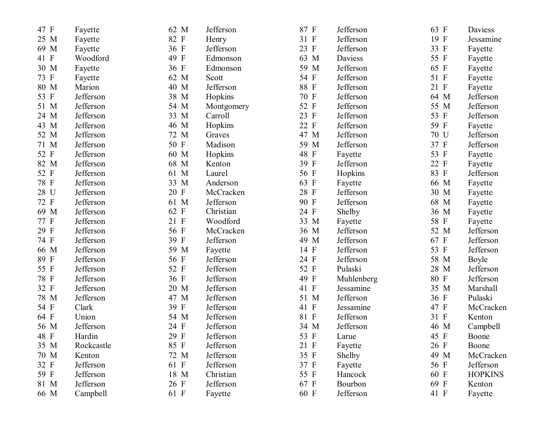| 47 F | Fayette    | 62 M | Jefferson  | 87 F | Jefferson  | 63 F | Daviess         |
|------|------------|------|------------|------|------------|------|-----------------|
| 25 M | Fayette    | 82 F | Henry      | 31 F | Jefferson  | 19 F | Jessamine       |
| 69 M | Fayette    | 36 F | Jefferson  | 23 F | Jefferson  | 33 F | Fayette         |
| 41 F | Woodford   | 49 F | Edmonson   | 63 M | Daviess    | 55 F | Fayette         |
| 30 M | Fayette    | 36 F | Edmonson   | 59 M | Jefferson  | 65 F | Fayette         |
| 73 F | Fayette    | 62 M | Scott      | 54 F | Jefferson  | 51 F | Fayette         |
| 80 M | Marion     | 40 M | Jefferson  | 88 F | Jefferson  | 21 F | Fayette         |
| 53 F | Jefferson  | 38 M | Hopkins    | 70 F | Jefferson  | 64 M | Jefferson       |
| 51 M | Jefferson  | 54 M | Montgomery | 52 F | Jefferson  | 55 M | Jefferson       |
| 24 M | Jefferson  | 33 M | Carroll    | 23 F | Jefferson  | 53 F | Jefferson       |
| 43 M | Jefferson  | 46 M | Hopkins    | 22 F | Jefferson  | 59 F | Fayette         |
| 52 M | Jefferson  | 72 M | Graves     | 47 M | Jefferson  | 70 U | Jefferson       |
| 71 M | Jefferson  | 50 F | Madison    | 59 M | Jefferson  | 37 F | Jefferson       |
| 52 F | Jefferson  | 60 M | Hopkins    | 48 F | Fayette    | 53 F | Fayette         |
| 82 M | Jefferson  | 68 M | Kenton     | 39 F | Jefferson  | 22 F | Fayette         |
| 52 F | Jefferson  | 61 M | Laurel     | 56 F | Hopkins    | 83 F | Jefferson       |
| 78 F | Jefferson  | 33 M | Anderson   | 63 F | Fayette    | 66 M | Fayette         |
| 28 U | Jefferson  | 20 F | McCracken  | 28 F | Jefferson  | 30 M | Fayette         |
| 72 F | Jefferson  | 61 M | Jefferson  | 90 F | Jefferson  | 68 M | Fayette         |
| 69 M | Jefferson  | 62 F | Christian  | 24 F | Shelby     | 36 M | Fayette         |
| 77 F | Jefferson  | 21 F | Woodford   | 33 M | Fayette    | 58 F | Fayette         |
| 29 F | Jefferson  | 56 F | McCracken  | 36 M | Jefferson  | 52 M | Jefferson       |
| 74 F | Jefferson  | 39 F | Jefferson  | 49 M | Jefferson  | 67 F | Jefferson       |
| 66 M | Jefferson  | 59 M | Fayette    | 14 F | Jefferson  | 53 F | Jefferson       |
| 89 F | Jefferson  | 56 F | Jefferson  | 24 F | Jefferson  | 58 M | Boyle           |
| 55 F | Jefferson  | 52 F | Jefferson  | 52 F | Pulaski    | 28 M | Jefferson       |
| 78 F | Jefferson  | 36 F | Jefferson  | 49 F | Muhlenberg | 80 F | Jefferson       |
| 32 F | Jefferson  | 20 M | Jefferson  | 41 F | Jessamine  | 35 M | <b>Marshall</b> |
| 78 M | Jefferson  | 47 M | Jefferson  | 51 M | Jefferson  | 36 F | Pulaski         |
| 54 F | Clark      | 39 F | Jefferson  | 41 F | Jessamine  | 47 F | McCracken       |
| 64 F | Union      | 54 M | Jefferson  | 81 F | Jefferson  | 31 F | Kenton          |
| 56 M | Jefferson  | 24 F | Jefferson  | 34 M | Jefferson  | 46 M | Campbell        |
| 48 F | Hardin     | 29 F | Jefferson  | 53 F | Larue      | 45 F | Boone           |
| 35 M | Rockcastle | 85 F | Jefferson  | 21 F | Fayette    | 26 F | Boone           |
| 70 M | Kenton     | 72 M | Jefferson  | 35 F | Shelby     | 49 M | McCracken       |
| 32 F | Jefferson  | 61 F | Jefferson  | 37 F | Fayette    | 56 F | Jefferson       |
| 59 F | Jefferson  | 18 M | Christian  | 55 F | Hancock    | 60 F | <b>HOPKINS</b>  |
| 81 M | Jefferson  | 26 F | Jefferson  | 67 F | Bourbon    | 69 F | Kenton          |
| 66 M | Campbell   | 61 F | Fayette    | 60 F | Jefferson  | 41 F | Fayette         |